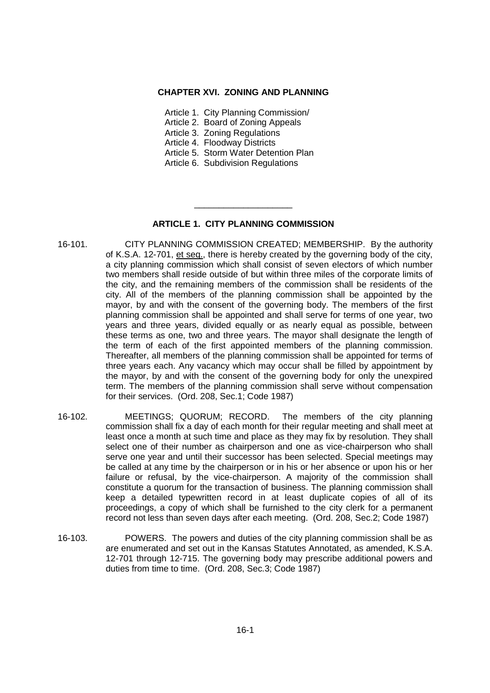## **CHAPTER XVI. ZONING AND PLANNING**

- Article 1. City Planning Commission/
- Article 2. Board of Zoning Appeals
- Article 3. Zoning Regulations
- Article 4. Floodway Districts
- Article 5. Storm Water Detention Plan
- Article 6. Subdivision Regulations

# **ARTICLE 1. CITY PLANNING COMMISSION**

\_\_\_\_\_\_\_\_\_\_\_\_\_\_\_\_\_\_\_\_

- 16-101. CITY PLANNING COMMISSION CREATED; MEMBERSHIP. By the authority of K.S.A. 12-701, et seq., there is hereby created by the governing body of the city, a city planning commission which shall consist of seven electors of which number two members shall reside outside of but within three miles of the corporate limits of the city, and the remaining members of the commission shall be residents of the city. All of the members of the planning commission shall be appointed by the mayor, by and with the consent of the governing body. The members of the first planning commission shall be appointed and shall serve for terms of one year, two years and three years, divided equally or as nearly equal as possible, between these terms as one, two and three years. The mayor shall designate the length of the term of each of the first appointed members of the planning commission. Thereafter, all members of the planning commission shall be appointed for terms of three years each. Any vacancy which may occur shall be filled by appointment by the mayor, by and with the consent of the governing body for only the unexpired term. The members of the planning commission shall serve without compensation for their services. (Ord. 208, Sec.1; Code 1987)
- 16-102. MEETINGS; QUORUM; RECORD. The members of the city planning commission shall fix a day of each month for their regular meeting and shall meet at least once a month at such time and place as they may fix by resolution. They shall select one of their number as chairperson and one as vice-chairperson who shall serve one year and until their successor has been selected. Special meetings may be called at any time by the chairperson or in his or her absence or upon his or her failure or refusal, by the vice-chairperson. A majority of the commission shall constitute a quorum for the transaction of business. The planning commission shall keep a detailed typewritten record in at least duplicate copies of all of its proceedings, a copy of which shall be furnished to the city clerk for a permanent record not less than seven days after each meeting. (Ord. 208, Sec.2; Code 1987)
- 16-103. POWERS. The powers and duties of the city planning commission shall be as are enumerated and set out in the Kansas Statutes Annotated, as amended, K.S.A. 12-701 through 12-715. The governing body may prescribe additional powers and duties from time to time. (Ord. 208, Sec.3; Code 1987)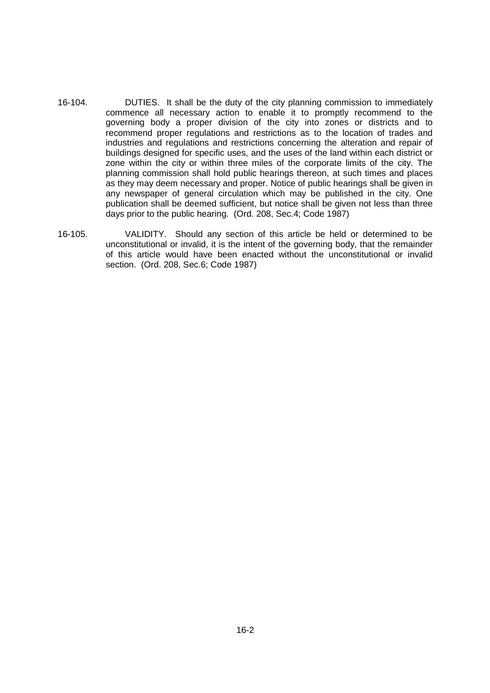- 16-104. DUTIES. It shall be the duty of the city planning commission to immediately commence all necessary action to enable it to promptly recommend to the governing body a proper division of the city into zones or districts and to recommend proper regulations and restrictions as to the location of trades and industries and regulations and restrictions concerning the alteration and repair of buildings designed for specific uses, and the uses of the land within each district or zone within the city or within three miles of the corporate limits of the city. The planning commission shall hold public hearings thereon, at such times and places as they may deem necessary and proper. Notice of public hearings shall be given in any newspaper of general circulation which may be published in the city. One publication shall be deemed sufficient, but notice shall be given not less than three days prior to the public hearing. (Ord. 208, Sec.4; Code 1987)
- 16-105. VALIDITY. Should any section of this article be held or determined to be unconstitutional or invalid, it is the intent of the governing body, that the remainder of this article would have been enacted without the unconstitutional or invalid section. (Ord. 208, Sec.6; Code 1987)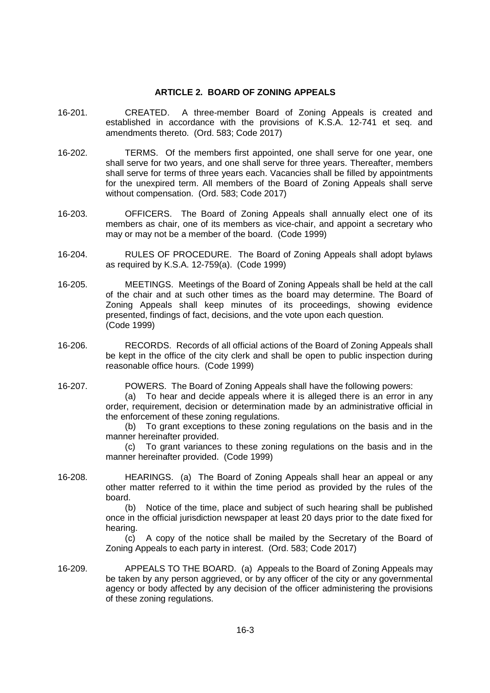#### **ARTICLE 2. BOARD OF ZONING APPEALS**

- 16-201. CREATED. A three-member Board of Zoning Appeals is created and established in accordance with the provisions of K.S.A. 12-741 et seq. and amendments thereto. (Ord. 583; Code 2017)
- 16-202. TERMS. Of the members first appointed, one shall serve for one year, one shall serve for two years, and one shall serve for three years. Thereafter, members shall serve for terms of three years each. Vacancies shall be filled by appointments for the unexpired term. All members of the Board of Zoning Appeals shall serve without compensation. (Ord. 583; Code 2017)
- 16-203. OFFICERS. The Board of Zoning Appeals shall annually elect one of its members as chair, one of its members as vice-chair, and appoint a secretary who may or may not be a member of the board. (Code 1999)
- 16-204. RULES OF PROCEDURE. The Board of Zoning Appeals shall adopt bylaws as required by K.S.A. 12-759(a). (Code 1999)
- 16-205. MEETINGS. Meetings of the Board of Zoning Appeals shall be held at the call of the chair and at such other times as the board may determine. The Board of Zoning Appeals shall keep minutes of its proceedings, showing evidence presented, findings of fact, decisions, and the vote upon each question. (Code 1999)
- 16-206. RECORDS. Records of all official actions of the Board of Zoning Appeals shall be kept in the office of the city clerk and shall be open to public inspection during reasonable office hours. (Code 1999)
- 16-207. POWERS. The Board of Zoning Appeals shall have the following powers:

(a) To hear and decide appeals where it is alleged there is an error in any order, requirement, decision or determination made by an administrative official in the enforcement of these zoning regulations.

(b) To grant exceptions to these zoning regulations on the basis and in the manner hereinafter provided.

(c) To grant variances to these zoning regulations on the basis and in the manner hereinafter provided. (Code 1999)

16-208. HEARINGS. (a) The Board of Zoning Appeals shall hear an appeal or any other matter referred to it within the time period as provided by the rules of the board.

> (b) Notice of the time, place and subject of such hearing shall be published once in the official jurisdiction newspaper at least 20 days prior to the date fixed for hearing.

> (c) A copy of the notice shall be mailed by the Secretary of the Board of Zoning Appeals to each party in interest. (Ord. 583; Code 2017)

16-209. APPEALS TO THE BOARD. (a) Appeals to the Board of Zoning Appeals may be taken by any person aggrieved, or by any officer of the city or any governmental agency or body affected by any decision of the officer administering the provisions of these zoning regulations.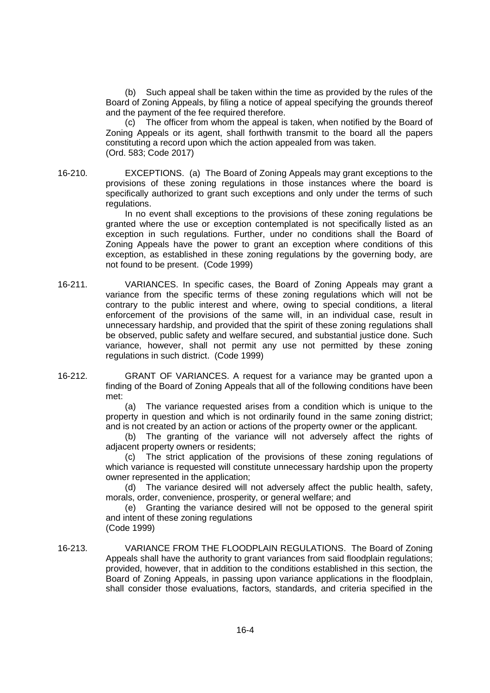(b) Such appeal shall be taken within the time as provided by the rules of the Board of Zoning Appeals, by filing a notice of appeal specifying the grounds thereof and the payment of the fee required therefore.

(c) The officer from whom the appeal is taken, when notified by the Board of Zoning Appeals or its agent, shall forthwith transmit to the board all the papers constituting a record upon which the action appealed from was taken. (Ord. 583; Code 2017)

16-210. EXCEPTIONS. (a) The Board of Zoning Appeals may grant exceptions to the provisions of these zoning regulations in those instances where the board is specifically authorized to grant such exceptions and only under the terms of such regulations.

In no event shall exceptions to the provisions of these zoning regulations be granted where the use or exception contemplated is not specifically listed as an exception in such regulations. Further, under no conditions shall the Board of Zoning Appeals have the power to grant an exception where conditions of this exception, as established in these zoning regulations by the governing body, are not found to be present. (Code 1999)

16-211. VARIANCES. In specific cases, the Board of Zoning Appeals may grant a variance from the specific terms of these zoning regulations which will not be contrary to the public interest and where, owing to special conditions, a literal enforcement of the provisions of the same will, in an individual case, result in unnecessary hardship, and provided that the spirit of these zoning regulations shall be observed, public safety and welfare secured, and substantial justice done. Such variance, however, shall not permit any use not permitted by these zoning regulations in such district. (Code 1999)

16-212. GRANT OF VARIANCES. A request for a variance may be granted upon a finding of the Board of Zoning Appeals that all of the following conditions have been met:

> (a) The variance requested arises from a condition which is unique to the property in question and which is not ordinarily found in the same zoning district; and is not created by an action or actions of the property owner or the applicant.

> (b) The granting of the variance will not adversely affect the rights of adjacent property owners or residents;

> (c) The strict application of the provisions of these zoning regulations of which variance is requested will constitute unnecessary hardship upon the property owner represented in the application;

> (d) The variance desired will not adversely affect the public health, safety, morals, order, convenience, prosperity, or general welfare; and

> (e) Granting the variance desired will not be opposed to the general spirit and intent of these zoning regulations

(Code 1999)

16-213. VARIANCE FROM THE FLOODPLAIN REGULATIONS. The Board of Zoning Appeals shall have the authority to grant variances from said floodplain regulations; provided, however, that in addition to the conditions established in this section, the Board of Zoning Appeals, in passing upon variance applications in the floodplain, shall consider those evaluations, factors, standards, and criteria specified in the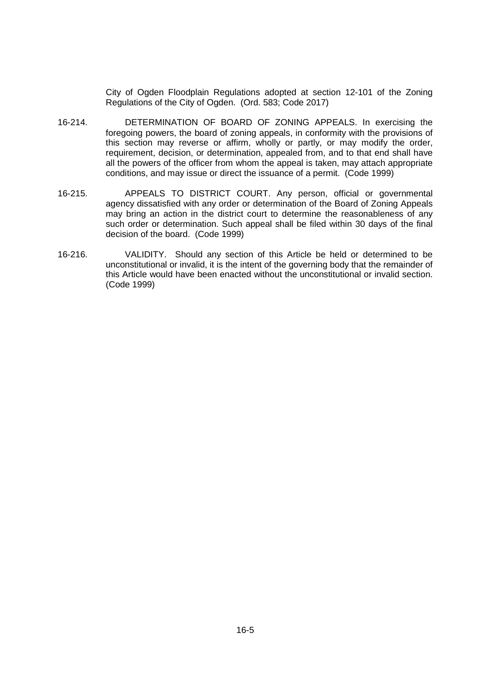City of Ogden Floodplain Regulations adopted at section 12-101 of the Zoning Regulations of the City of Ogden. (Ord. 583; Code 2017)

- 16-214. DETERMINATION OF BOARD OF ZONING APPEALS. In exercising the foregoing powers, the board of zoning appeals, in conformity with the provisions of this section may reverse or affirm, wholly or partly, or may modify the order, requirement, decision, or determination, appealed from, and to that end shall have all the powers of the officer from whom the appeal is taken, may attach appropriate conditions, and may issue or direct the issuance of a permit. (Code 1999)
- 16-215. APPEALS TO DISTRICT COURT. Any person, official or governmental agency dissatisfied with any order or determination of the Board of Zoning Appeals may bring an action in the district court to determine the reasonableness of any such order or determination. Such appeal shall be filed within 30 days of the final decision of the board. (Code 1999)
- 16-216. VALIDITY. Should any section of this Article be held or determined to be unconstitutional or invalid, it is the intent of the governing body that the remainder of this Article would have been enacted without the unconstitutional or invalid section. (Code 1999)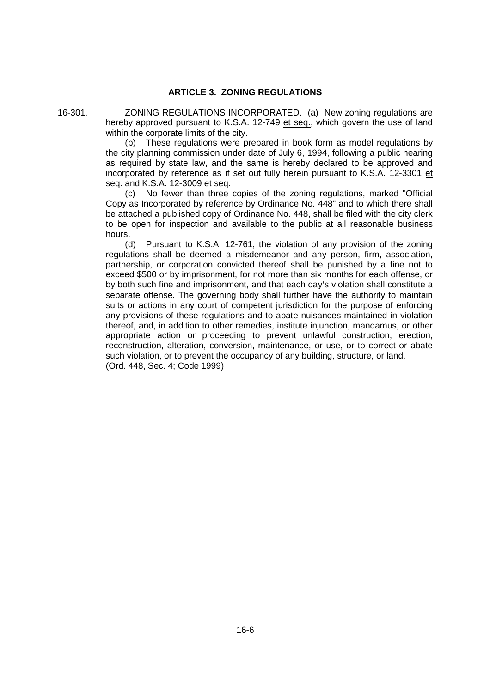## **ARTICLE 3. ZONING REGULATIONS**

16-301. ZONING REGULATIONS INCORPORATED. (a) New zoning regulations are hereby approved pursuant to K.S.A. 12-749 et seq., which govern the use of land within the corporate limits of the city.

> (b) These regulations were prepared in book form as model regulations by the city planning commission under date of July 6, 1994, following a public hearing as required by state law, and the same is hereby declared to be approved and incorporated by reference as if set out fully herein pursuant to K.S.A. 12-3301 et seq. and K.S.A. 12-3009 et seq.

> (c) No fewer than three copies of the zoning regulations, marked "Official Copy as Incorporated by reference by Ordinance No. 448" and to which there shall be attached a published copy of Ordinance No. 448, shall be filed with the city clerk to be open for inspection and available to the public at all reasonable business hours.

> (d) Pursuant to K.S.A. 12-761, the violation of any provision of the zoning regulations shall be deemed a misdemeanor and any person, firm, association, partnership, or corporation convicted thereof shall be punished by a fine not to exceed \$500 or by imprisonment, for not more than six months for each offense, or by both such fine and imprisonment, and that each day's violation shall constitute a separate offense. The governing body shall further have the authority to maintain suits or actions in any court of competent jurisdiction for the purpose of enforcing any provisions of these regulations and to abate nuisances maintained in violation thereof, and, in addition to other remedies, institute injunction, mandamus, or other appropriate action or proceeding to prevent unlawful construction, erection, reconstruction, alteration, conversion, maintenance, or use, or to correct or abate such violation, or to prevent the occupancy of any building, structure, or land. (Ord. 448, Sec. 4; Code 1999)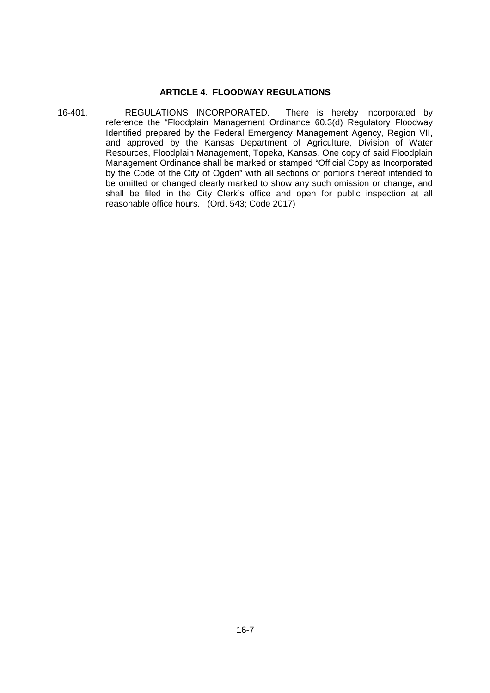#### **ARTICLE 4. FLOODWAY REGULATIONS**

16-401. REGULATIONS INCORPORATED. There is hereby incorporated by reference the "Floodplain Management Ordinance 60.3(d) Regulatory Floodway Identified prepared by the Federal Emergency Management Agency, Region VII, and approved by the Kansas Department of Agriculture, Division of Water Resources, Floodplain Management, Topeka, Kansas. One copy of said Floodplain Management Ordinance shall be marked or stamped "Official Copy as Incorporated by the Code of the City of Ogden" with all sections or portions thereof intended to be omitted or changed clearly marked to show any such omission or change, and shall be filed in the City Clerk's office and open for public inspection at all reasonable office hours. (Ord. 543; Code 2017)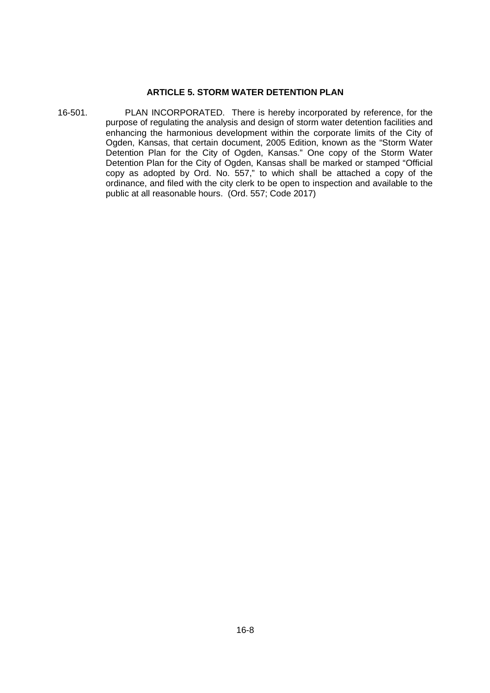## **ARTICLE 5. STORM WATER DETENTION PLAN**

16-501. PLAN INCORPORATED. There is hereby incorporated by reference, for the purpose of regulating the analysis and design of storm water detention facilities and enhancing the harmonious development within the corporate limits of the City of Ogden, Kansas, that certain document, 2005 Edition, known as the "Storm Water Detention Plan for the City of Ogden, Kansas." One copy of the Storm Water Detention Plan for the City of Ogden, Kansas shall be marked or stamped "Official copy as adopted by Ord. No. 557," to which shall be attached a copy of the ordinance, and filed with the city clerk to be open to inspection and available to the public at all reasonable hours. (Ord. 557; Code 2017)